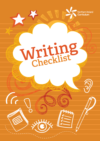



G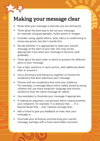#### **Making your message clear**

- Know what your message is and who you are writing for.
- Think about the best way to set out your message, for example using paragraphs, bullet points or images.
- Consider using capital letters, bold, italics or underlining to stress key points, but don't overdo this.
- Decide whether it is appropriate to state your overall message at the start of your text: this may not be appropriate if you want your message to become clear gradually.
- Think about the best order in which to present the different parts of your message.
- • Use a topic sentence in each section, with additional detail after or around it.
- Use a dictionary and thesaurus together to choose the vocabulary that best expresses your message.
- Choose and use vocabulary that suits your audience. For example, a message about online safety aimed at young children will use more simplistic language and shorter sentences than the same message for adults.
- • Use examples to illustrate your message if appropriate.
- If making an argument, use phrases which clearly promote your viewpoint, for example 'It is obvious that...', 'It is beyond doubt that…' and 'I believe strongly that...'
- Ask a friend to give you feedback on how clear your message is.
- Conclude your writing by summarising your overall message, perhaps with a final memorable comment.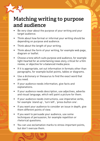#### **Matching writing to purpose and audience**

- Be very clear about the purpose of your writing and your target audience.
- Think about how formal or informal your writing should be depending on purpose and audience.
- • Think about the length of your writing.
- Think about the form of your writing, for example web page, diagram or leaflet.
- Choose a tone which suits purpose and audience, for example light-hearted for an entertaining news story, critical for a film review, or objective for a balanced media piece.
- If it is appropriate, set out information in formats other than paragraphs, for example bullet points, tables or diagrams.
- Use a dictionary or thesaurus to find the exact word that you need.
- • If your audience needs information, give facts and explanations.
- If your audience needs description, use adjectives, adverbs and visual language, which will paint a picture for them.
- If your audience needs instructions, use imperative verbs, for example 'stand up', 'turn left', 'press button one'.
- If you want your audience to consider an issue in depth, give them different points of view.
- If you want to persuade your audience, use some techniques of persuasion, for example repetition or rhetorical questions.
- You can use exclamation marks to stress important points, but don't overuse them.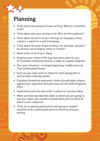# **Planning**

- Think about the purpose of your writing. What is it intended to do?
- Think about who your writing is for. Who are the audience?
- Think about the form of your writing, for example a story, a poem, a report or a web homepage.
- Think about the tone of your writing. For example, should it be serious, encouraging, funny or critical?
- • Make notes of all of your ideas.
- Organise your notes in the way that works best for you, for example using bullet points, a table or a spider diagram.
- • Plan your structure − a simple beginning, middle and end. Then build around these.
- • Sum up your main point or ideas for each paragraph or section with a few key words.
- If putting forward an argument, think of predictable attacks against your argument and plan how you will defend against them.
- Experiment with the best order in which to use your ideas.
- When you have decided the order in which you are going to use your ideas, put numbers beside each point to show its place in your sequence.
- Think of an opening point which will get your readers' attention and a memorable point on which to end your writing.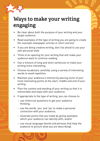### **Ways to make your writing engaging**

- Be clear about both the purpose of your writing and your target audience.
- Read examples of the type of writing you are going to create (for example newspaper articles or short stories).
- If you are doing creative writing, don't be afraid to use your own personal style.
- Think of an opening for your writing that will make your audience want to continue reading.
- Use a mixture of long and short sentences to make your writing more interesting.
- Choose vocabulary carefully, using a variety of interesting words to avoid repetition.
- Maintain your audience's interest by placing some of your most interesting points at the start, middle and end of your writing.
- Plan the content and wording of your writing so that it is memorable and stays with your audience.
- If appropriate to the type of writing, you can choose to:
	- use rhetorical questions to get your audience thinking;
	- use the words 'you' and 'we' to make a personal connection with your audience;
	- illustrate points that you make by giving examples which your audience can identify with; and/or
	- use visual language (words and phrases that help the audience to picture what you are describing).